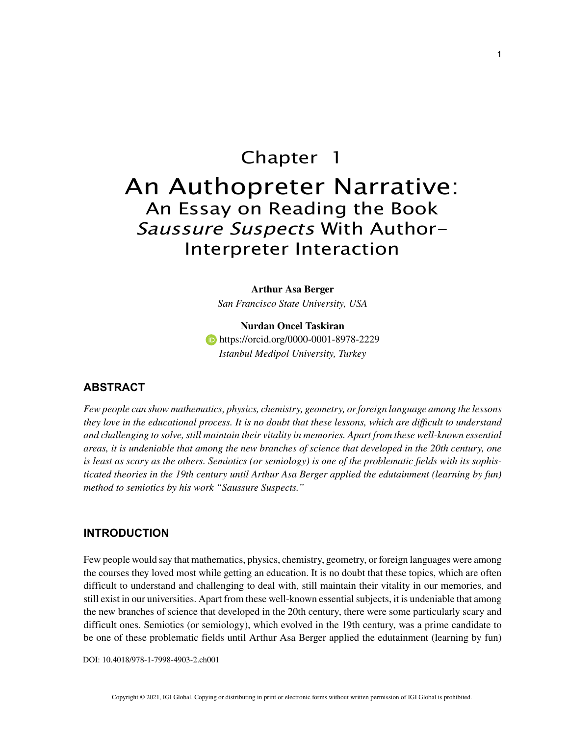# Chapter 1 An Authopreter Narrative: An Essay on Reading the Book Saussure Suspects With Author-Interpreter Interaction

**Arthur Asa Berger** *San Francisco State University, USA*

**Nurdan Oncel Taskiran https://orcid.org/0000-0001-8978-2229** *Istanbul Medipol University, Turkey*

## **ABSTRACT**

*Few people can show mathematics, physics, chemistry, geometry, or foreign language among the lessons they love in the educational process. It is no doubt that these lessons, which are difficult to understand and challenging to solve, still maintain their vitality in memories. Apart from these well-known essential areas, it is undeniable that among the new branches of science that developed in the 20th century, one is least as scary as the others. Semiotics (or semiology) is one of the problematic fields with its sophisticated theories in the 19th century until Arthur Asa Berger applied the edutainment (learning by fun) method to semiotics by his work "Saussure Suspects."*

#### **INTRODUCTION**

Few people would say that mathematics, physics, chemistry, geometry, or foreign languages were among the courses they loved most while getting an education. It is no doubt that these topics, which are often difficult to understand and challenging to deal with, still maintain their vitality in our memories, and still exist in our universities. Apart from these well-known essential subjects, it is undeniable that among the new branches of science that developed in the 20th century, there were some particularly scary and difficult ones. Semiotics (or semiology), which evolved in the 19th century, was a prime candidate to be one of these problematic fields until Arthur Asa Berger applied the edutainment (learning by fun)

DOI: 10.4018/978-1-7998-4903-2.ch001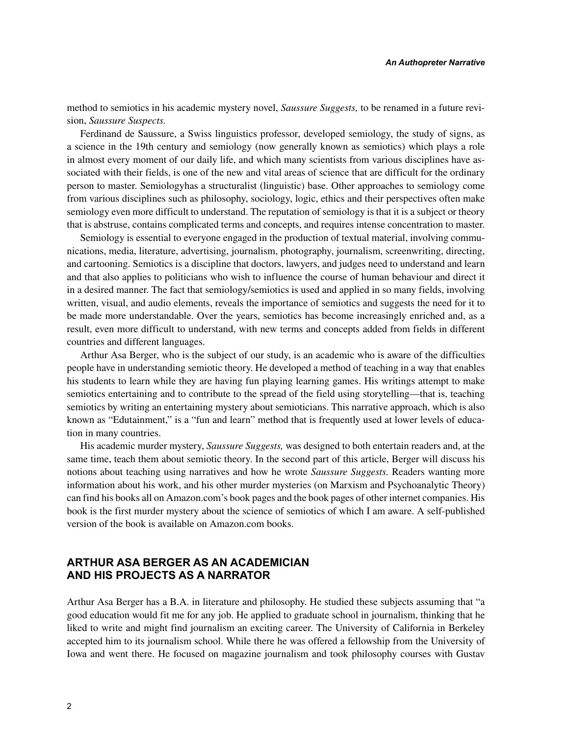method to semiotics in his academic mystery novel, *Saussure Suggests,* to be renamed in a future revision, *Saussure Suspects.*

Ferdinand de Saussure, a Swiss linguistics professor, developed semiology, the study of signs, as a science in the 19th century and semiology (now generally known as semiotics) which plays a role in almost every moment of our daily life, and which many scientists from various disciplines have associated with their fields, is one of the new and vital areas of science that are difficult for the ordinary person to master. Semiologyhas a structuralist (linguistic) base. Other approaches to semiology come from various disciplines such as philosophy, sociology, logic, ethics and their perspectives often make semiology even more difficult to understand. The reputation of semiology is that it is a subject or theory that is abstruse, contains complicated terms and concepts, and requires intense concentration to master.

Semiology is essential to everyone engaged in the production of textual material, involving communications, media, literature, advertising, journalism, photography, journalism, screenwriting, directing, and cartooning. Semiotics is a discipline that doctors, lawyers, and judges need to understand and learn and that also applies to politicians who wish to influence the course of human behaviour and direct it in a desired manner. The fact that semiology/semiotics is used and applied in so many fields, involving written, visual, and audio elements, reveals the importance of semiotics and suggests the need for it to be made more understandable. Over the years, semiotics has become increasingly enriched and, as a result, even more difficult to understand, with new terms and concepts added from fields in different countries and different languages.

Arthur Asa Berger, who is the subject of our study, is an academic who is aware of the difficulties people have in understanding semiotic theory. He developed a method of teaching in a way that enables his students to learn while they are having fun playing learning games. His writings attempt to make semiotics entertaining and to contribute to the spread of the field using storytelling—that is, teaching semiotics by writing an entertaining mystery about semioticians. This narrative approach, which is also known as "Edutainment," is a "fun and learn" method that is frequently used at lower levels of education in many countries.

His academic murder mystery, *Saussure Suggests,* was designed to both entertain readers and, at the same time, teach them about semiotic theory. In the second part of this article, Berger will discuss his notions about teaching using narratives and how he wrote *Saussure Suggests.* Readers wanting more information about his work, and his other murder mysteries (on Marxism and Psychoanalytic Theory) can find his books all on Amazon.com's book pages and the book pages of other internet companies. His book is the first murder mystery about the science of semiotics of which I am aware. A self-published version of the book is available on Amazon.com books.

# **ARTHUR ASA BERGER AS AN ACADEMICIAN AND HIS PROJECTS AS A NARRATOR**

Arthur Asa Berger has a B.A. in literature and philosophy. He studied these subjects assuming that "a good education would fit me for any job. He applied to graduate school in journalism, thinking that he liked to write and might find journalism an exciting career. The University of California in Berkeley accepted him to its journalism school. While there he was offered a fellowship from the University of Iowa and went there. He focused on magazine journalism and took philosophy courses with Gustav